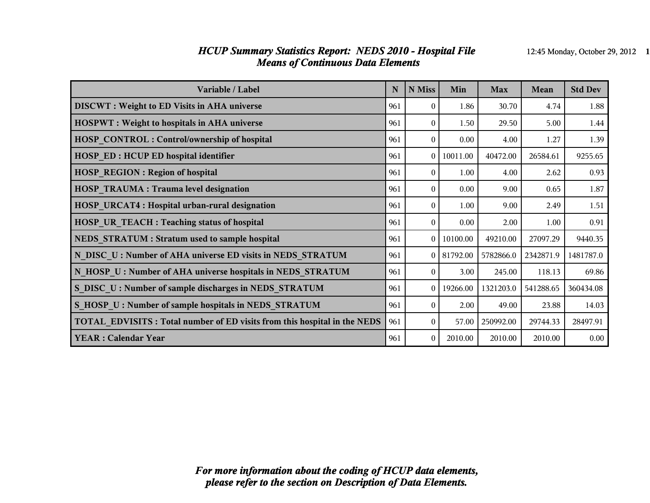### *HCUP Summary Statistics Report: NEDS 2010 - Hospital File* 12:45 Monday, October 29, 2012 1 *Means of Continuous Data Elements*

| Variable / Label                                                                | N   | N Miss         | Min      | <b>Max</b> | Mean      | <b>Std Dev</b> |
|---------------------------------------------------------------------------------|-----|----------------|----------|------------|-----------|----------------|
| <b>DISCWT</b> : Weight to ED Visits in AHA universe                             | 961 | $\Omega$       | 1.86     | 30.70      | 4.74      | 1.88           |
| <b>HOSPWT</b> : Weight to hospitals in AHA universe                             | 961 | $\theta$       | 1.50     | 29.50      | 5.00      | 1.44           |
| <b>HOSP CONTROL: Control/ownership of hospital</b>                              | 961 | $\theta$       | 0.00     | 4.00       | 1.27      | 1.39           |
| <b>HOSP_ED: HCUP ED hospital identifier</b>                                     | 961 | $\theta$       | 10011.00 | 40472.00   | 26584.61  | 9255.65        |
| <b>HOSP REGION: Region of hospital</b>                                          | 961 | $\theta$       | 1.00     | 4.00       | 2.62      | 0.93           |
| <b>HOSP TRAUMA: Trauma level designation</b>                                    | 961 | $\theta$       | 0.00     | 9.00       | 0.65      | 1.87           |
| <b>HOSP URCAT4: Hospital urban-rural designation</b>                            | 961 | $\Omega$       | 1.00     | 9.00       | 2.49      | 1.51           |
| <b>HOSP UR TEACH : Teaching status of hospital</b>                              | 961 | $\theta$       | 0.00     | 2.00       | 1.00      | 0.91           |
| NEDS STRATUM : Stratum used to sample hospital                                  | 961 | $\theta$       | 10100.00 | 49210.00   | 27097.29  | 9440.35        |
| N DISC U: Number of AHA universe ED visits in NEDS STRATUM                      | 961 | $\theta$       | 81792.00 | 5782866.0  | 2342871.9 | 1481787.0      |
| N HOSP U: Number of AHA universe hospitals in NEDS STRATUM                      | 961 | $\theta$       | 3.00     | 245.00     | 118.13    | 69.86          |
| S DISC U: Number of sample discharges in NEDS STRATUM                           | 961 | $\theta$       | 19266.00 | 1321203.0  | 541288.65 | 360434.08      |
| S HOSP U: Number of sample hospitals in NEDS STRATUM                            | 961 | $\Omega$       | 2.00     | 49.00      | 23.88     | 14.03          |
| <b>TOTAL EDVISITS: Total number of ED visits from this hospital in the NEDS</b> | 961 | $\overline{0}$ | 57.00    | 250992.00  | 29744.33  | 28497.91       |
| <b>YEAR: Calendar Year</b>                                                      | 961 | $\theta$       | 2010.00  | 2010.00    | 2010.00   | 0.00           |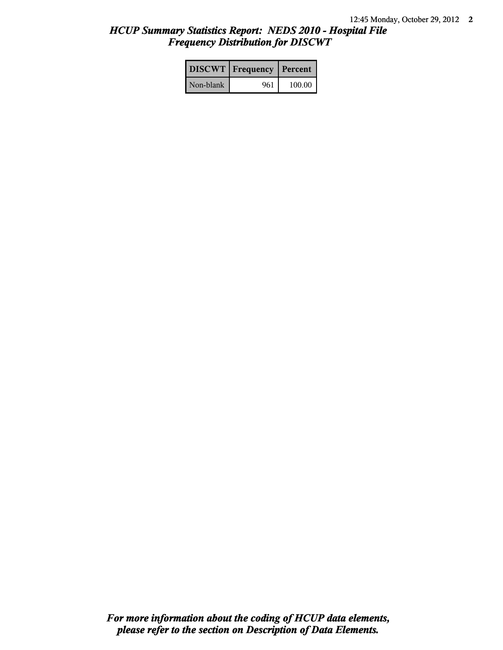# *HCUP Summary Statistics Report: NEDS 2010 - Hospital File Frequency Distribution for DISCWT*

|           | <b>DISCWT</b> Frequency Percent |        |
|-----------|---------------------------------|--------|
| Non-blank | 961                             | 100.00 |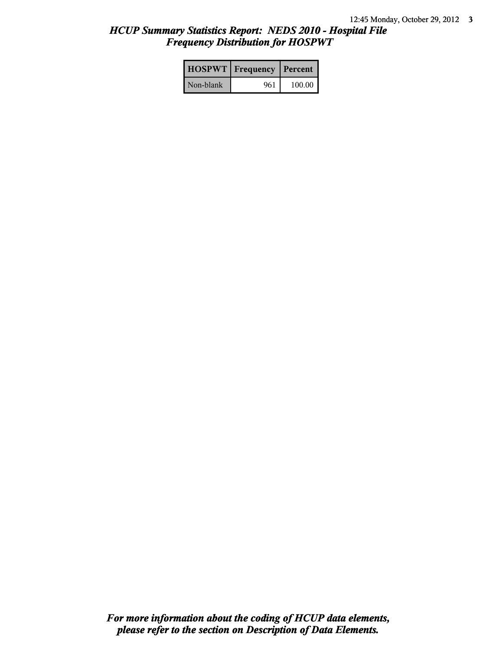# *HCUP Summary Statistics Report: NEDS 2010 - Hospital File Frequency Distribution for HOSPWT*

|           | <b>HOSPWT</b> Frequency   Percent |        |
|-----------|-----------------------------------|--------|
| Non-blank | 961                               | 100.00 |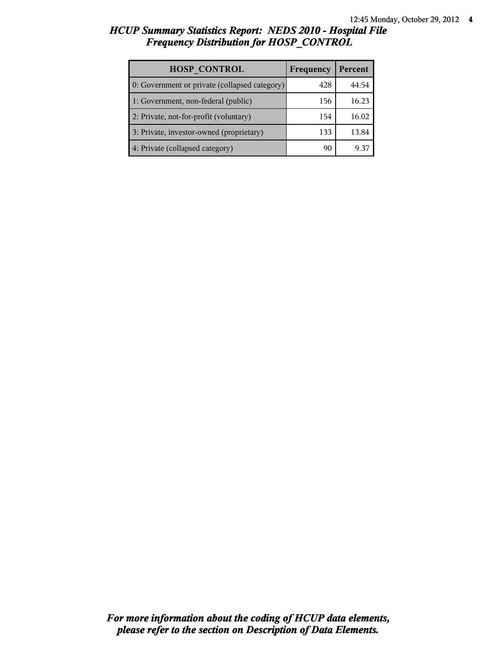# *HCUP Summary Statistics Report: NEDS 2010 - Hospital File Frequency Distribution for HOSP\_CONTROL*

| <b>HOSP CONTROL</b>                           | Frequency | Percent |
|-----------------------------------------------|-----------|---------|
| 0: Government or private (collapsed category) | 428       | 44.54   |
| 1: Government, non-federal (public)           | 156       | 16.23   |
| 2: Private, not-for-profit (voluntary)        | 154       | 16.02   |
| 3: Private, investor-owned (proprietary)      | 133       | 13.84   |
| 4: Private (collapsed category)               | 91        |         |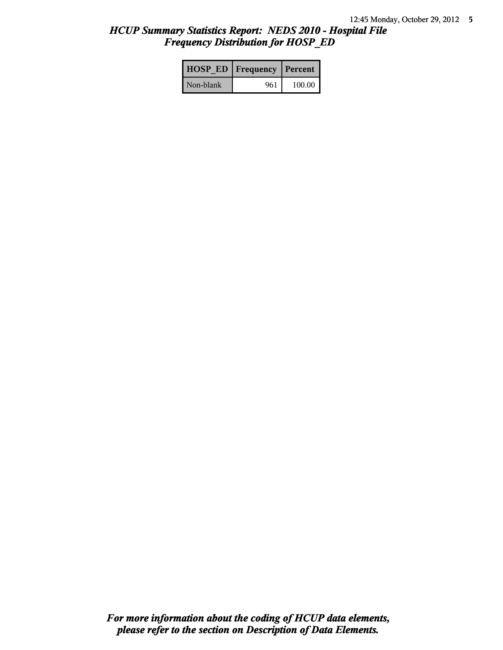# *HCUP Summary Statistics Report: NEDS 2010 - Hospital File Frequency Distribution for HOSP\_ED*

|           | <b>HOSP ED   Frequency   Percent  </b> |        |
|-----------|----------------------------------------|--------|
| Non-blank | 961                                    | 100.00 |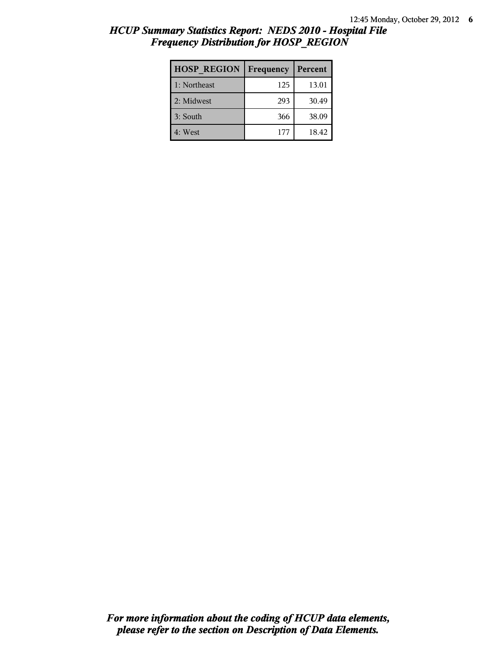| <b>HOSP REGION</b> | Frequency | Percent |
|--------------------|-----------|---------|
| 1: Northeast       | 125       | 13.01   |
| 2: Midwest         | 293       | 30.49   |
| 3: South           | 366       | 38.09   |
| 4: West            | 177       | 18.42   |

# *HCUP Summary Statistics Report: NEDS 2010 - Hospital File Frequency Distribution for HOSP\_REGION*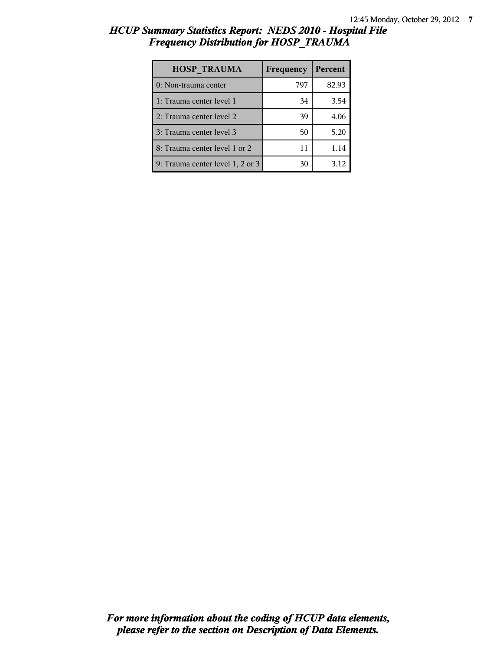# *HCUP Summary Statistics Report: NEDS 2010 - Hospital File Frequency Distribution for HOSP\_TRAUMA*

| <b>HOSP TRAUMA</b>               | Frequency | Percent |
|----------------------------------|-----------|---------|
| 0: Non-trauma center             | 797       | 82.93   |
| 1: Trauma center level 1         | 34        | 3.54    |
| 2: Trauma center level 2         | 39        | 4.06    |
| 3: Trauma center level 3         | 50        | 5.20    |
| 8: Trauma center level 1 or 2    | 11        | 1.14    |
| 9: Trauma center level 1, 2 or 3 | 30        | 3.12    |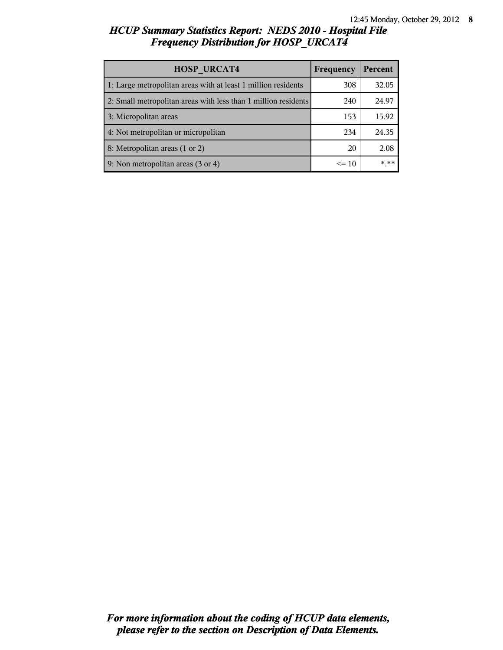# *HCUP Summary Statistics Report: NEDS 2010 - Hospital File Frequency Distribution for HOSP\_URCAT4*

| <b>HOSP URCAT4</b>                                             | Frequency | Percent |
|----------------------------------------------------------------|-----------|---------|
| 1: Large metropolitan areas with at least 1 million residents  | 308       | 32.05   |
| 2: Small metropolitan areas with less than 1 million residents | 240       | 24.97   |
| 3: Micropolitan areas                                          | 153       | 15.92   |
| 4: Not metropolitan or micropolitan                            | 234       | 24.35   |
| 8: Metropolitan areas (1 or 2)                                 | 20        | 2.08    |
| 9: Non metropolitan areas (3 or 4)                             | $\leq 10$ | * **    |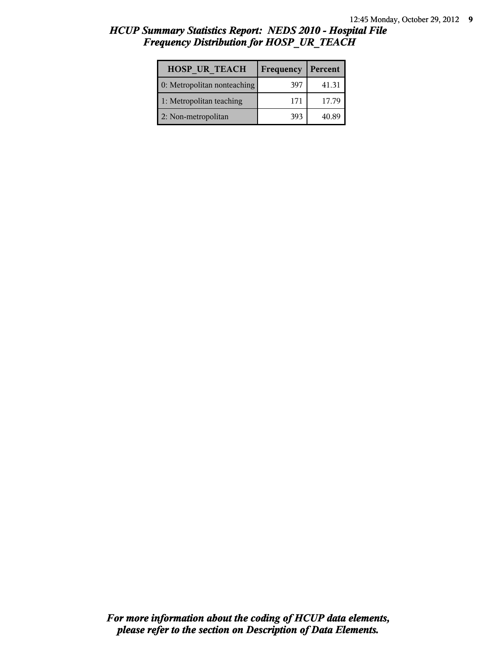# *HCUP Summary Statistics Report: NEDS 2010 - Hospital File Frequency Distribution for HOSP\_UR\_TEACH*

| <b>HOSP UR TEACH</b>        | Frequency | Percent |
|-----------------------------|-----------|---------|
| 0: Metropolitan nonteaching | 397       | 41.31   |
| 1: Metropolitan teaching    | 171       | 17.79   |
| 2: Non-metropolitan         | 393       | 40.89   |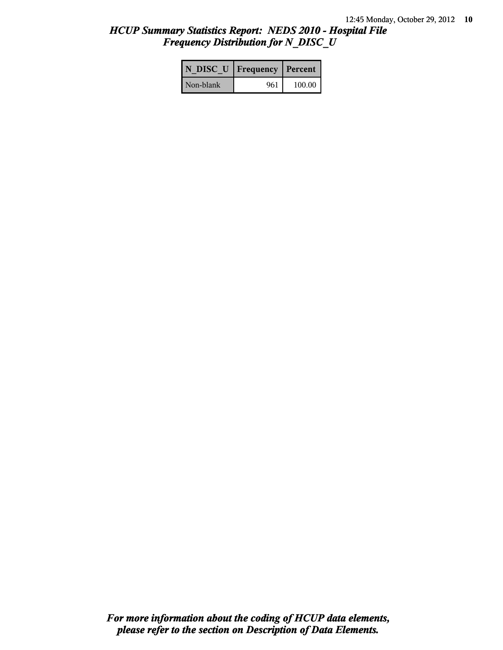# *HCUP Summary Statistics Report: NEDS 2010 - Hospital File Frequency Distribution for N\_DISC\_U*

| N DISC U   Frequency   Percent |     |        |
|--------------------------------|-----|--------|
| Non-blank                      | 961 | 100.00 |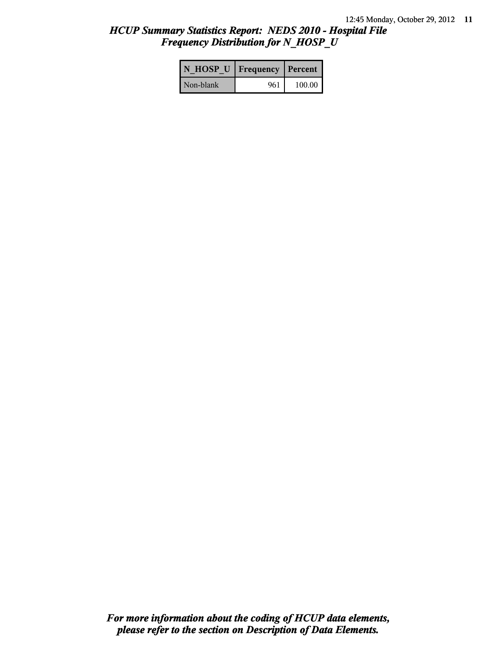# *HCUP Summary Statistics Report: NEDS 2010 - Hospital File Frequency Distribution for N\_HOSP\_U*

| N HOSP U   Frequency   Percent |     |        |
|--------------------------------|-----|--------|
| Non-blank                      | 961 | 100.00 |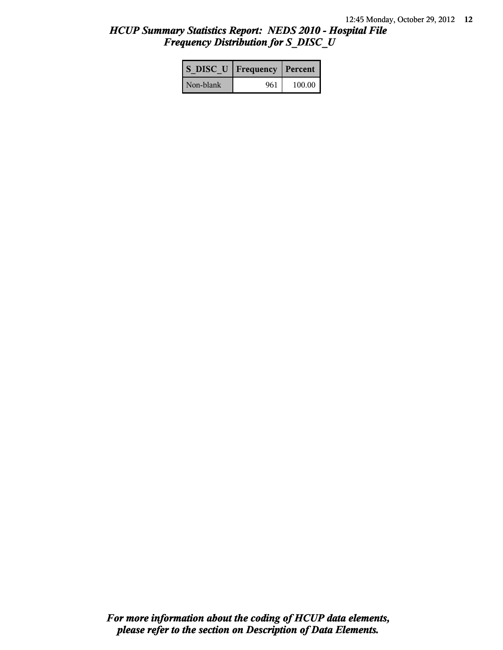# *HCUP Summary Statistics Report: NEDS 2010 - Hospital File Frequency Distribution for S\_DISC\_U*

| S DISC U   Frequency   Percent |     |        |
|--------------------------------|-----|--------|
| Non-blank                      | 961 | 100.00 |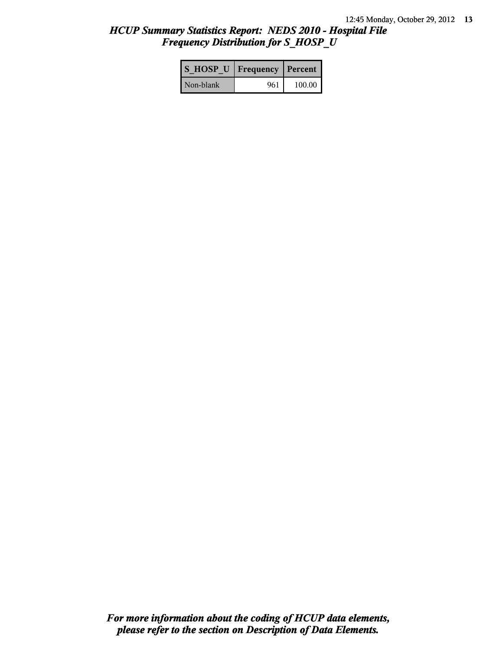# *HCUP Summary Statistics Report: NEDS 2010 - Hospital File Frequency Distribution for S\_HOSP\_U*

| S HOSP U Frequency   Percent |     |          |
|------------------------------|-----|----------|
| Non-blank                    | 961 | $100.00$ |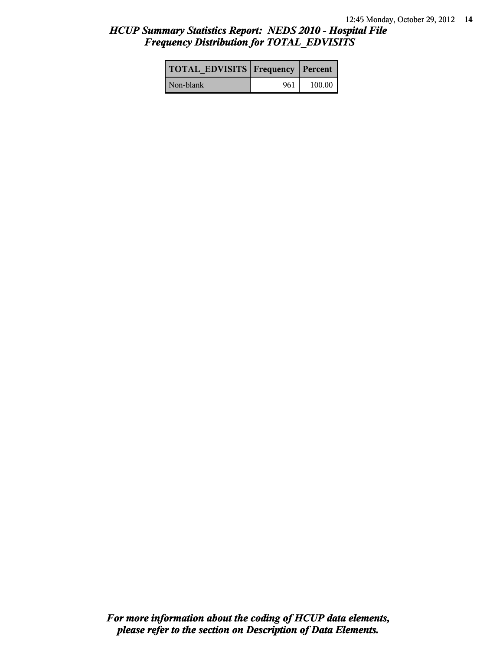# *HCUP Summary Statistics Report: NEDS 2010 - Hospital File Frequency Distribution for TOTAL\_EDVISITS*

| <b>TOTAL EDVISITS Frequency Percent</b> |     |        |
|-----------------------------------------|-----|--------|
| Non-blank                               | 961 | 100.00 |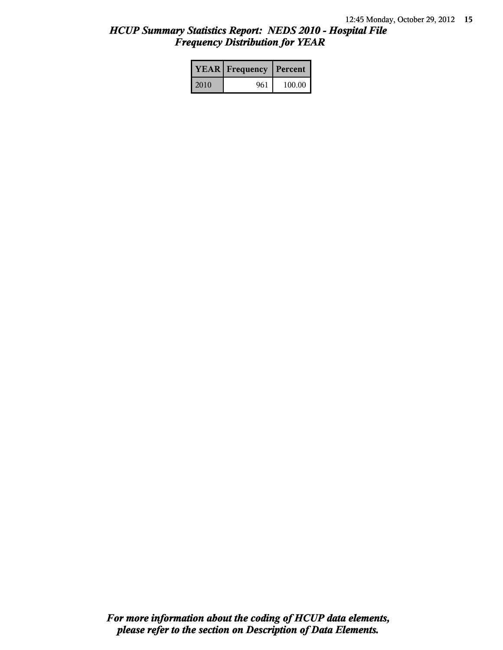# *HCUP Summary Statistics Report: NEDS 2010 - Hospital File Frequency Distribution for YEAR*

|      | <b>YEAR</b> Frequency | Percent |  |
|------|-----------------------|---------|--|
| 2010 | 961                   | 100.00  |  |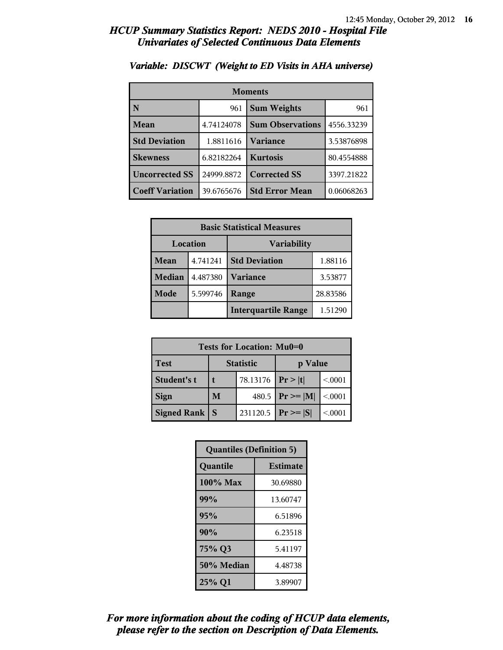| <b>Moments</b>         |            |                         |            |
|------------------------|------------|-------------------------|------------|
| N                      | 961        | <b>Sum Weights</b>      | 961        |
| Mean                   | 4.74124078 | <b>Sum Observations</b> | 4556.33239 |
| <b>Std Deviation</b>   | 1.8811616  | Variance                | 3.53876898 |
| <b>Skewness</b>        | 6.82182264 | <b>Kurtosis</b>         | 80.4554888 |
| <b>Uncorrected SS</b>  | 24999.8872 | <b>Corrected SS</b>     | 3397.21822 |
| <b>Coeff Variation</b> | 39.6765676 | <b>Std Error Mean</b>   | 0.06068263 |

### *Variable: DISCWT (Weight to ED Visits in AHA universe)*

| <b>Basic Statistical Measures</b> |          |                            |          |
|-----------------------------------|----------|----------------------------|----------|
| Location                          |          | <b>Variability</b>         |          |
| <b>Mean</b>                       | 4.741241 | <b>Std Deviation</b>       | 1.88116  |
| <b>Median</b>                     | 4.487380 | <b>Variance</b>            | 3.53877  |
| Mode                              | 5.599746 | Range                      | 28.83586 |
|                                   |          | <b>Interquartile Range</b> | 1.51290  |

| Tests for Location: Mu0=0 |               |                  |                |         |
|---------------------------|---------------|------------------|----------------|---------|
| <b>Test</b>               |               | <b>Statistic</b> | p Value        |         |
| Student's t               | 78.13176<br>t |                  | Pr> t          | < 0001  |
| <b>Sign</b>               | M             | 480.5            | $P_r \geq  M $ | < 0.001 |
| <b>Signed Rank</b>        | S             | 231120.5         | $Pr \geq  S $  | < 0001  |

| <b>Quantiles (Definition 5)</b> |                 |  |
|---------------------------------|-----------------|--|
| Quantile                        | <b>Estimate</b> |  |
| $100\%$ Max                     | 30.69880        |  |
| 99%                             | 13.60747        |  |
| 95%                             | 6.51896         |  |
| 90%                             | 6.23518         |  |
| 75% Q3                          | 5.41197         |  |
| 50% Median                      | 4.48738         |  |
| 25% Q1                          | 3.89907         |  |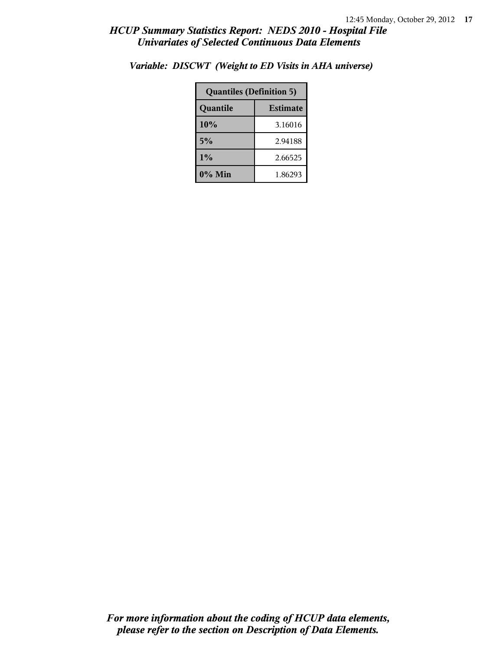| <b>Quantiles (Definition 5)</b> |         |  |
|---------------------------------|---------|--|
| <b>Estimate</b><br>Quantile     |         |  |
| 10%                             | 3.16016 |  |
| 5%                              | 2.94188 |  |
| 1%                              | 2.66525 |  |
| 0% Min                          | 1.86293 |  |

*Variable: DISCWT (Weight to ED Visits in AHA universe)*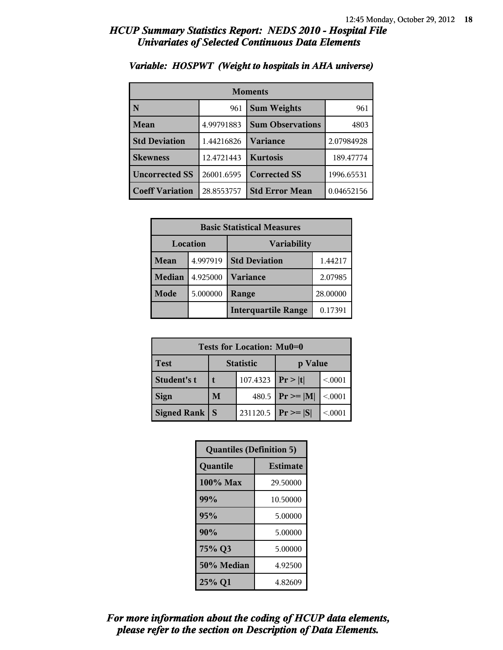| <b>Moments</b>         |            |                         |            |
|------------------------|------------|-------------------------|------------|
| N                      | 961        | <b>Sum Weights</b>      | 961        |
| Mean                   | 4.99791883 | <b>Sum Observations</b> | 4803       |
| <b>Std Deviation</b>   | 1.44216826 | Variance                | 2.07984928 |
| <b>Skewness</b>        | 12.4721443 | <b>Kurtosis</b>         | 189.47774  |
| <b>Uncorrected SS</b>  | 26001.6595 | <b>Corrected SS</b>     | 1996.65531 |
| <b>Coeff Variation</b> | 28.8553757 | <b>Std Error Mean</b>   | 0.04652156 |

### *Variable: HOSPWT (Weight to hospitals in AHA universe)*

| <b>Basic Statistical Measures</b> |          |                            |          |
|-----------------------------------|----------|----------------------------|----------|
| Location                          |          | <b>Variability</b>         |          |
| <b>Mean</b>                       | 4.997919 | <b>Std Deviation</b>       | 1.44217  |
| <b>Median</b>                     | 4.925000 | <b>Variance</b>            | 2.07985  |
| Mode                              | 5.000000 | Range                      | 28.00000 |
|                                   |          | <b>Interquartile Range</b> | 0.17391  |

| Tests for Location: Mu0=0 |   |                  |                |         |
|---------------------------|---|------------------|----------------|---------|
| <b>Test</b>               |   | <b>Statistic</b> | p Value        |         |
| Student's t               | t | 107.4323         | Pr> t          | < 0001  |
| <b>Sign</b>               | M | 480.5            | $P_r \geq  M $ | < 0.001 |
| <b>Signed Rank</b>        | S | 231120.5         | $Pr \geq  S $  | < 0001  |

| <b>Quantiles (Definition 5)</b> |                 |  |
|---------------------------------|-----------------|--|
| Quantile                        | <b>Estimate</b> |  |
| $100\%$ Max                     | 29.50000        |  |
| 99%                             | 10.50000        |  |
| 95%                             | 5.00000         |  |
| 90%                             | 5.00000         |  |
| 75% Q3                          | 5.00000         |  |
| 50% Median                      | 4.92500         |  |
| 25% Q1                          | 4.82609         |  |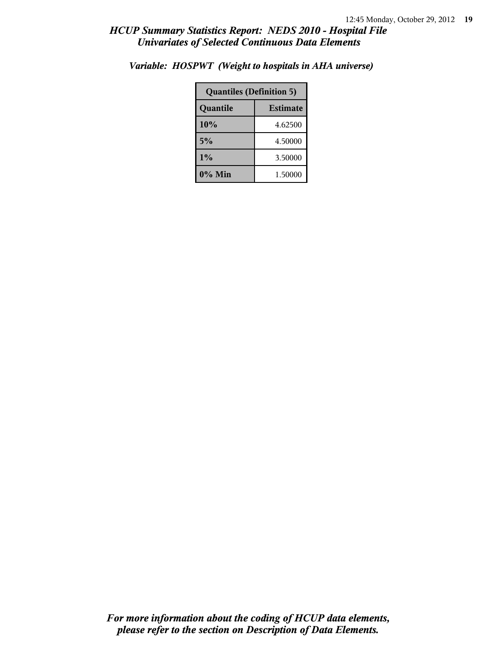| <b>Quantiles (Definition 5)</b> |         |  |
|---------------------------------|---------|--|
| <b>Estimate</b><br>Quantile     |         |  |
| 10%<br>4.62500                  |         |  |
| 5%<br>4.50000                   |         |  |
| 1%<br>3.50000                   |         |  |
| 0% Min                          | 1.50000 |  |

*Variable: HOSPWT (Weight to hospitals in AHA universe)*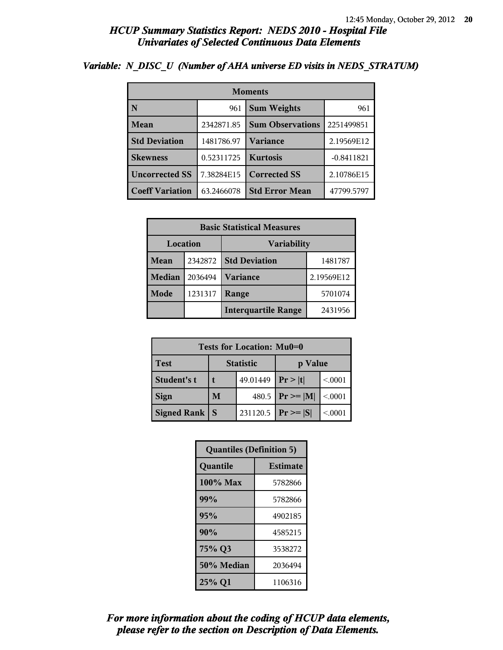| <b>Moments</b>         |            |                         |              |  |
|------------------------|------------|-------------------------|--------------|--|
| N                      | 961        | <b>Sum Weights</b>      | 961          |  |
| Mean                   | 2342871.85 | <b>Sum Observations</b> | 2251499851   |  |
| <b>Std Deviation</b>   | 1481786.97 | <b>Variance</b>         | 2.19569E12   |  |
| <b>Skewness</b>        | 0.52311725 | <b>Kurtosis</b>         | $-0.8411821$ |  |
| <b>Uncorrected SS</b>  | 7.38284E15 | <b>Corrected SS</b>     | 2.10786E15   |  |
| <b>Coeff Variation</b> | 63.2466078 | <b>Std Error Mean</b>   | 47799.5797   |  |

### *Variable: N\_DISC\_U (Number of AHA universe ED visits in NEDS\_STRATUM)*

| <b>Basic Statistical Measures</b> |         |                                       |            |  |
|-----------------------------------|---------|---------------------------------------|------------|--|
| Location<br>Variability           |         |                                       |            |  |
| <b>Mean</b>                       | 2342872 | <b>Std Deviation</b><br>1481787       |            |  |
| <b>Median</b>                     | 2036494 | <b>Variance</b>                       | 2.19569E12 |  |
| Mode                              | 1231317 | Range                                 | 5701074    |  |
|                                   |         | <b>Interquartile Range</b><br>2431956 |            |  |

| Tests for Location: Mu0=0 |                             |          |                     |         |  |
|---------------------------|-----------------------------|----------|---------------------|---------|--|
| <b>Test</b>               | <b>Statistic</b><br>p Value |          |                     |         |  |
| Student's t               |                             | 49.01449 | Pr >  t             | < 0001  |  |
| <b>Sign</b>               | M                           |          | 480.5 $ Pr \ge  M $ | < 0.001 |  |
| <b>Signed Rank</b><br>S   |                             | 231120.5 | $Pr \geq  S $       | < 0001  |  |

| <b>Quantiles (Definition 5)</b> |                 |  |
|---------------------------------|-----------------|--|
| Quantile                        | <b>Estimate</b> |  |
| 100% Max                        | 5782866         |  |
| 99%                             | 5782866         |  |
| 95%                             | 4902185         |  |
| 90%                             | 4585215         |  |
| 75% Q3<br>3538272               |                 |  |
| 50% Median<br>2036494           |                 |  |
| 25% Q1<br>1106316               |                 |  |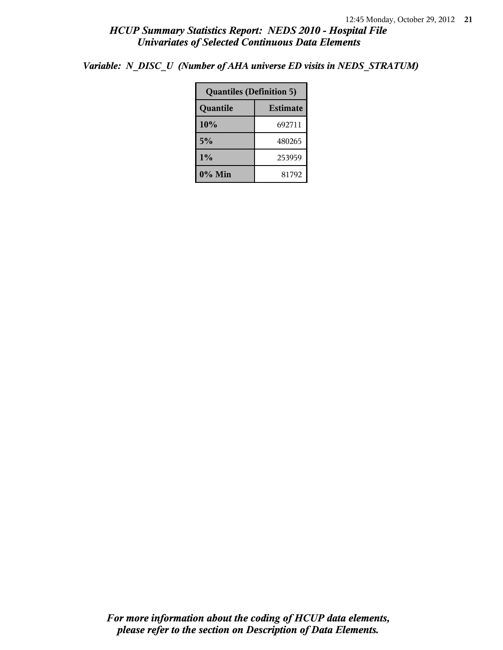*Variable: N\_DISC\_U (Number of AHA universe ED visits in NEDS\_STRATUM)*

| <b>Quantiles (Definition 5)</b> |        |  |  |
|---------------------------------|--------|--|--|
| Quantile<br><b>Estimate</b>     |        |  |  |
| 10%                             | 692711 |  |  |
| 5%                              | 480265 |  |  |
| $1\%$<br>253959                 |        |  |  |
| 0% Min<br>81792                 |        |  |  |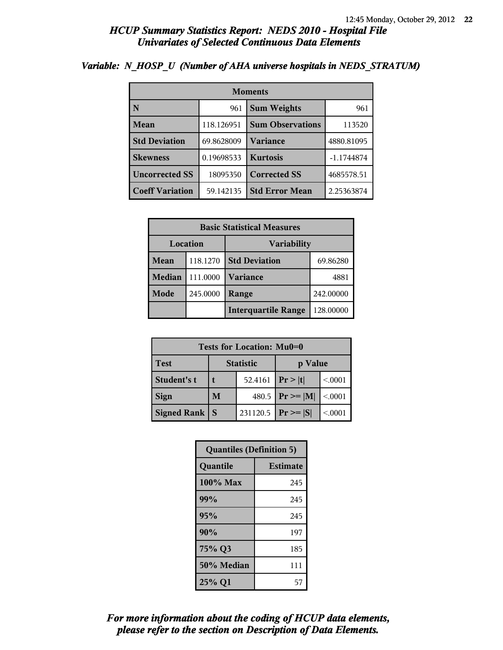| <b>Moments</b>         |            |                         |              |  |
|------------------------|------------|-------------------------|--------------|--|
| N                      | 961        | <b>Sum Weights</b>      | 961          |  |
| Mean                   | 118.126951 | <b>Sum Observations</b> | 113520       |  |
| <b>Std Deviation</b>   | 69.8628009 | <b>Variance</b>         | 4880.81095   |  |
| <b>Skewness</b>        | 0.19698533 | <b>Kurtosis</b>         | $-1.1744874$ |  |
| <b>Uncorrected SS</b>  | 18095350   | <b>Corrected SS</b>     | 4685578.51   |  |
| <b>Coeff Variation</b> | 59.142135  | <b>Std Error Mean</b>   | 2.25363874   |  |

### *Variable: N\_HOSP\_U (Number of AHA universe hospitals in NEDS\_STRATUM)*

| <b>Basic Statistical Measures</b> |          |                            |           |  |
|-----------------------------------|----------|----------------------------|-----------|--|
| Location<br><b>Variability</b>    |          |                            |           |  |
| <b>Mean</b>                       | 118.1270 | <b>Std Deviation</b>       | 69.86280  |  |
| <b>Median</b>                     | 111.0000 | <b>Variance</b><br>4881    |           |  |
| Mode                              | 245.0000 | Range                      | 242.00000 |  |
|                                   |          | <b>Interquartile Range</b> | 128.00000 |  |

| Tests for Location: Mu0=0 |                             |         |                 |         |  |
|---------------------------|-----------------------------|---------|-----------------|---------|--|
| <b>Test</b>               | <b>Statistic</b><br>p Value |         |                 |         |  |
| Student's t               |                             | 52.4161 | Pr> t           | < 0.001 |  |
| <b>Sign</b>               | 480.5<br>M                  |         | $ Pr \ge =  M $ | < 0.001 |  |
| <b>Signed Rank</b>        | 231120.5<br><b>S</b>        |         |                 | < 0.001 |  |

| <b>Quantiles (Definition 5)</b> |                 |  |
|---------------------------------|-----------------|--|
| Quantile                        | <b>Estimate</b> |  |
| $100\%$ Max                     | 245             |  |
| 99%                             | 245             |  |
| 95%                             | 245             |  |
| 90%                             | 197             |  |
| 75% Q3<br>185                   |                 |  |
| 50% Median                      | 111             |  |
| 25% Q1                          | 57              |  |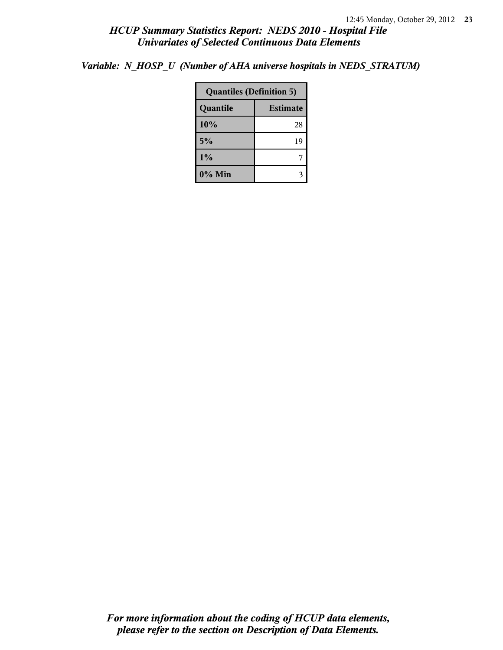*Variable: N\_HOSP\_U (Number of AHA universe hospitals in NEDS\_STRATUM)*

| <b>Quantiles (Definition 5)</b> |    |  |  |
|---------------------------------|----|--|--|
| Quantile<br><b>Estimate</b>     |    |  |  |
| 10%                             | 28 |  |  |
| 5%                              | 19 |  |  |
| $1\%$                           |    |  |  |
| $0\%$ Min                       |    |  |  |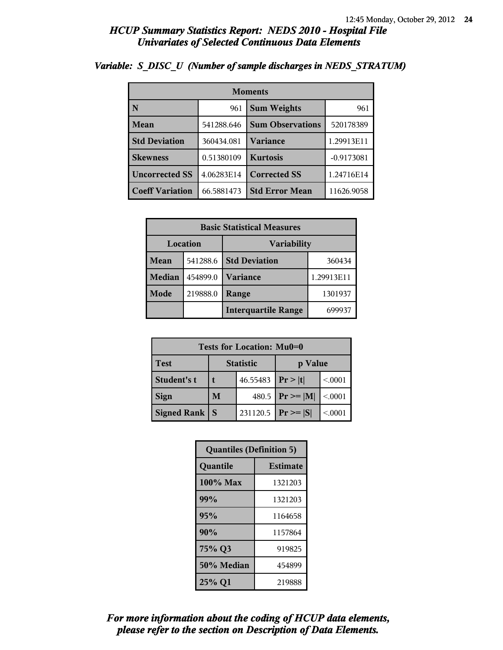| <b>Moments</b>         |            |                           |              |  |
|------------------------|------------|---------------------------|--------------|--|
| N                      | 961        | <b>Sum Weights</b><br>961 |              |  |
| Mean                   | 541288.646 | <b>Sum Observations</b>   | 520178389    |  |
| <b>Std Deviation</b>   | 360434.081 | <b>Variance</b>           | 1.29913E11   |  |
| <b>Skewness</b>        | 0.51380109 | <b>Kurtosis</b>           | $-0.9173081$ |  |
| <b>Uncorrected SS</b>  | 4.06283E14 | <b>Corrected SS</b>       | 1.24716E14   |  |
| <b>Coeff Variation</b> | 66.5881473 | <b>Std Error Mean</b>     | 11626.9058   |  |

## *Variable: S\_DISC\_U (Number of sample discharges in NEDS\_STRATUM)*

| <b>Basic Statistical Measures</b> |          |                            |            |  |  |
|-----------------------------------|----------|----------------------------|------------|--|--|
| Location<br><b>Variability</b>    |          |                            |            |  |  |
| Mean                              | 541288.6 | <b>Std Deviation</b>       | 360434     |  |  |
| <b>Median</b>                     | 454899.0 | Variance                   | 1.29913E11 |  |  |
| Mode                              | 219888.0 | Range                      | 1301937    |  |  |
|                                   |          | <b>Interquartile Range</b> | 699937     |  |  |

| Tests for Location: Mu0=0 |                             |          |                     |         |  |  |
|---------------------------|-----------------------------|----------|---------------------|---------|--|--|
| <b>Test</b>               | <b>Statistic</b><br>p Value |          |                     |         |  |  |
| Student's t               | 46.55483                    |          | Pr >  t             | < 0001  |  |  |
| <b>Sign</b>               | M                           |          | 480.5 $ Pr \ge  M $ | < 0.001 |  |  |
| <b>Signed Rank</b><br>S   |                             | 231120.5 | $Pr \geq  S $       | < 0001  |  |  |

| <b>Quantiles (Definition 5)</b> |                 |  |
|---------------------------------|-----------------|--|
| Quantile                        | <b>Estimate</b> |  |
| 100% Max                        | 1321203         |  |
| 99%                             | 1321203         |  |
| 95%                             | 1164658         |  |
| 90%                             | 1157864         |  |
| 75% Q3                          | 919825          |  |
| 50% Median                      | 454899          |  |
| 25% Q1                          | 219888          |  |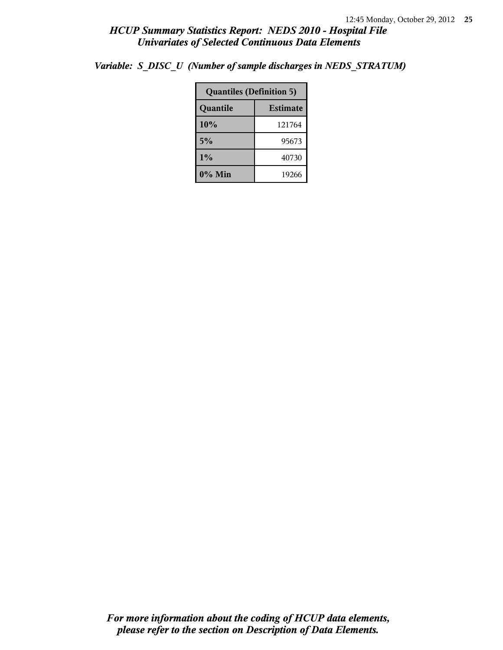|                             | <b>Quantiles (Definition 5)</b> |  |  |
|-----------------------------|---------------------------------|--|--|
| <b>Estimate</b><br>Quantile |                                 |  |  |
| 10%                         | 121764                          |  |  |
| 5%                          | 95673                           |  |  |
| $1\%$                       | 40730                           |  |  |
| 0% Min                      | 19266                           |  |  |

*Variable: S\_DISC\_U (Number of sample discharges in NEDS\_STRATUM)*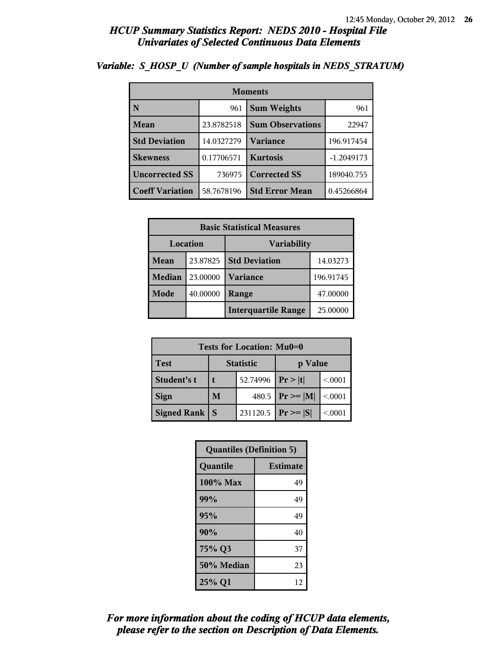| <b>Moments</b>                     |            |                         |              |  |
|------------------------------------|------------|-------------------------|--------------|--|
| N                                  | 961        | <b>Sum Weights</b>      |              |  |
| Mean                               | 23.8782518 | <b>Sum Observations</b> | 22947        |  |
| <b>Std Deviation</b><br>14.0327279 |            | Variance                | 196.917454   |  |
| <b>Skewness</b>                    | 0.17706571 | <b>Kurtosis</b>         | $-1.2049173$ |  |
| <b>Uncorrected SS</b>              | 736975     | <b>Corrected SS</b>     | 189040.755   |  |
| <b>Coeff Variation</b>             | 58.7678196 | <b>Std Error Mean</b>   | 0.45266864   |  |

## *Variable: S\_HOSP\_U (Number of sample hospitals in NEDS\_STRATUM)*

| <b>Basic Statistical Measures</b> |          |                            |           |  |  |
|-----------------------------------|----------|----------------------------|-----------|--|--|
| Location<br><b>Variability</b>    |          |                            |           |  |  |
| Mean                              | 23.87825 | <b>Std Deviation</b>       | 14.03273  |  |  |
| <b>Median</b>                     | 23.00000 | <b>Variance</b>            | 196.91745 |  |  |
| <b>Mode</b>                       | 40.00000 | Range                      | 47.00000  |  |  |
|                                   |          | <b>Interquartile Range</b> | 25.00000  |  |  |

| Tests for Location: Mu0=0 |                             |  |                 |         |  |
|---------------------------|-----------------------------|--|-----------------|---------|--|
| <b>Test</b>               | <b>Statistic</b><br>p Value |  |                 |         |  |
| Student's t               | 52.74996                    |  | Pr >  t         | < 0.001 |  |
| <b>Sign</b>               | 480.5<br>M                  |  | $ Pr \ge =  M $ | < 0.001 |  |
| <b>Signed Rank</b>        | 231120.5<br><b>S</b>        |  | $ Pr \geq  S $  | < 0.001 |  |

| <b>Quantiles (Definition 5)</b> |                 |  |
|---------------------------------|-----------------|--|
| Quantile                        | <b>Estimate</b> |  |
| $100\%$ Max                     | 49              |  |
| 99%                             | 49              |  |
| 95%                             | 49              |  |
| 90%                             | 40              |  |
| 75% Q3                          | 37              |  |
| 50% Median                      | 23              |  |
| 25% Q1                          | 12              |  |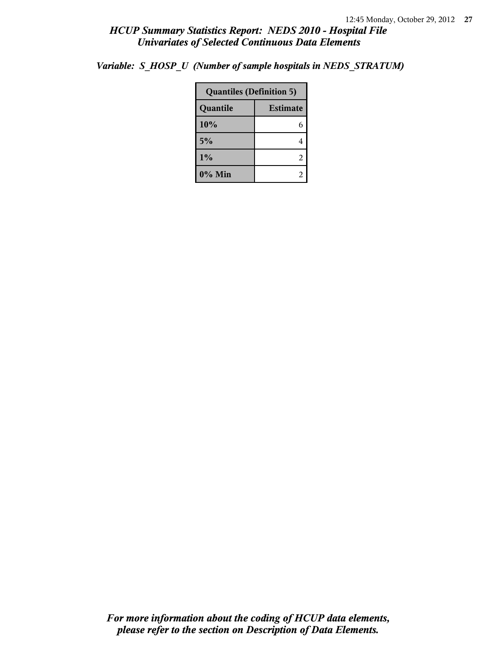|  | Variable: S HOSP U (Number of sample hospitals in NEDS STRATUM) |  |
|--|-----------------------------------------------------------------|--|
|  |                                                                 |  |

| <b>Quantiles (Definition 5)</b> |                 |  |
|---------------------------------|-----------------|--|
| Quantile                        | <b>Estimate</b> |  |
| 10%                             | 6               |  |
| 5%                              | 4               |  |
| 1%                              | 2               |  |
| 0% Min                          |                 |  |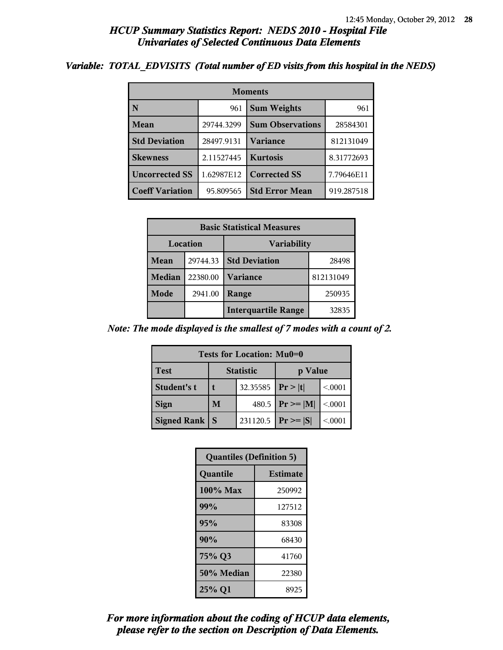#### *Variable: TOTAL\_EDVISITS (Total number of ED visits from this hospital in the NEDS)*

| <b>Moments</b>                     |            |                           |            |  |  |
|------------------------------------|------------|---------------------------|------------|--|--|
| $\overline{\mathbf{N}}$            | 961        | <b>Sum Weights</b><br>961 |            |  |  |
| Mean                               | 29744.3299 | <b>Sum Observations</b>   | 28584301   |  |  |
| <b>Std Deviation</b><br>28497.9131 |            | <b>Variance</b>           | 812131049  |  |  |
| <b>Skewness</b>                    | 2.11527445 | <b>Kurtosis</b>           | 8.31772693 |  |  |
| <b>Uncorrected SS</b>              | 1.62987E12 | <b>Corrected SS</b>       | 7.79646E11 |  |  |
| <b>Coeff Variation</b>             | 95.809565  | <b>Std Error Mean</b>     | 919.287518 |  |  |

| <b>Basic Statistical Measures</b> |          |                            |           |  |
|-----------------------------------|----------|----------------------------|-----------|--|
| Location<br><b>Variability</b>    |          |                            |           |  |
| Mean                              | 29744.33 | <b>Std Deviation</b>       | 28498     |  |
| Median                            | 22380.00 | <b>Variance</b>            | 812131049 |  |
| Mode                              | 2941.00  | Range                      | 250935    |  |
|                                   |          | <b>Interquartile Range</b> | 32835     |  |

*Note: The mode displayed is the smallest of 7 modes with a count of 2.*

| Tests for Location: Mu0=0 |                  |          |               |        |  |
|---------------------------|------------------|----------|---------------|--------|--|
| <b>Test</b>               | <b>Statistic</b> |          | p Value       |        |  |
| Student's t               |                  | 32.35585 | Pr >  t       | < 0001 |  |
| <b>Sign</b>               | M                | 480.5    | $Pr \geq  M $ | < 0001 |  |
| <b>Signed Rank</b>        | S                | 231120.5 | $Pr \geq  S $ | < 0001 |  |

| <b>Quantiles (Definition 5)</b> |                 |  |
|---------------------------------|-----------------|--|
| Quantile                        | <b>Estimate</b> |  |
| 100% Max                        | 250992          |  |
| 99%                             | 127512          |  |
| 95%                             | 83308           |  |
| 90%                             | 68430           |  |
| 75% Q3                          | 41760           |  |
| 50% Median                      | 22380           |  |
| 25% Q1                          | 8925            |  |

*please refer to the section on Description of Data Elements. For more information about the coding of HCUP data elements,*